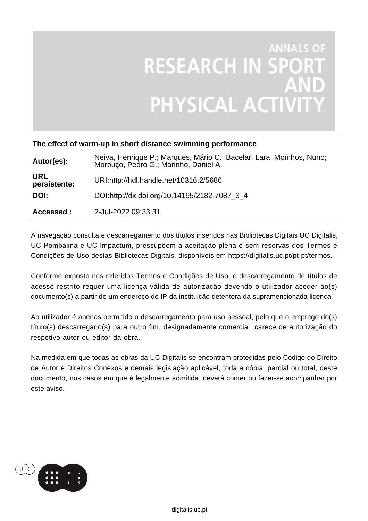# **ANNALS OF RESEARCH IN SPOR ANI**<br>PHYSICAL ACTIVIT

### **The effect of warm-up in short distance swimming performance**

| Autor(es):                 | Neiva, Henrique P.; Marques, Mário C.; Bacelar, Lara; Moínhos, Nuno;<br>Morouço, Pedro G.; Marinho, Daniel A. |
|----------------------------|---------------------------------------------------------------------------------------------------------------|
| <b>URL</b><br>persistente: | URI:http://hdl.handle.net/10316.2/5686                                                                        |
| DOI:                       | DOI:http://dx.doi.org/10.14195/2182-7087_3_4                                                                  |
| Accessed :                 | 2-Jul-2022 09:33:31                                                                                           |

A navegação consulta e descarregamento dos títulos inseridos nas Bibliotecas Digitais UC Digitalis, UC Pombalina e UC Impactum, pressupõem a aceitação plena e sem reservas dos Termos e Condições de Uso destas Bibliotecas Digitais, disponíveis em https://digitalis.uc.pt/pt-pt/termos.

Conforme exposto nos referidos Termos e Condições de Uso, o descarregamento de títulos de acesso restrito requer uma licença válida de autorização devendo o utilizador aceder ao(s) documento(s) a partir de um endereço de IP da instituição detentora da supramencionada licença.

Ao utilizador é apenas permitido o descarregamento para uso pessoal, pelo que o emprego do(s) título(s) descarregado(s) para outro fim, designadamente comercial, carece de autorização do respetivo autor ou editor da obra.

Na medida em que todas as obras da UC Digitalis se encontram protegidas pelo Código do Direito de Autor e Direitos Conexos e demais legislação aplicável, toda a cópia, parcial ou total, deste documento, nos casos em que é legalmente admitida, deverá conter ou fazer-se acompanhar por este aviso.

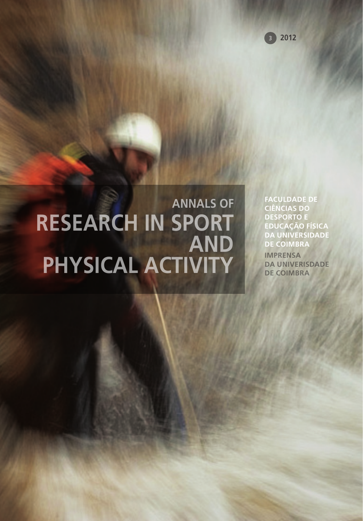# **RESEARCH IN SPORT AND PHYSICAL ACTIVITY**

**ANNALS OF PACULDADE DE CIÊNCIAS DO DESPORTO E EDUCAÇÃO FÍSICA DA UNIVERSIDADE DE COIMBRA**

> **IMPRENSA DA UNIVERISDADE DE COIMBRA**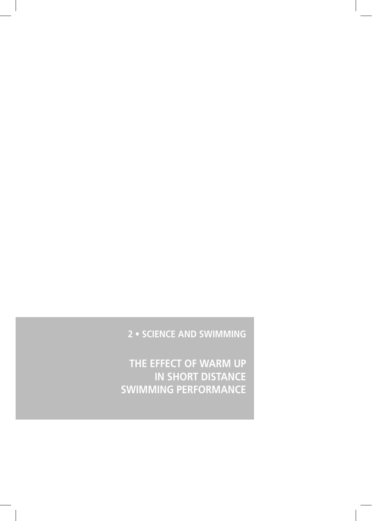## **2 • SCIENCE AND SWIMMING**

**THE EFFECT OF WARM UP IN SHORT DISTANCE SWIMMING PERFORMANCE**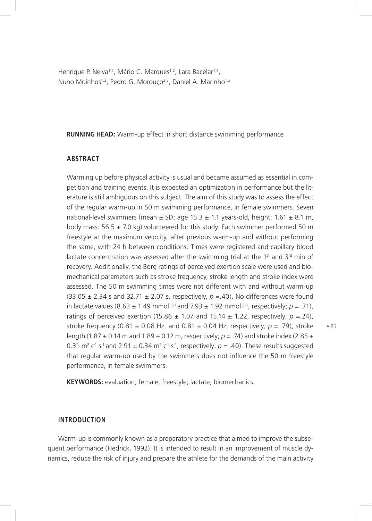Henrique P. Neiva<sup>1,2</sup>, Mário C. Marques<sup>1,2</sup>, Lara Bacelar<sup>1,2</sup>, Nuno Moínhos<sup>1,2</sup>, Pedro G. Morouco<sup>2,3</sup>, Daniel A. Marinho<sup>1,2</sup>

**RUNNING HEAD:** Warm-up effect in short distance swimming performance

#### **ABSTRACT**

Warming up before physical activity is usual and became assumed as essential in competition and training events. It is expected an optimization in performance but the literature is still ambiguous on this subject. The aim of this study was to assess the effect of the regular warm-up in 50 m swimming performance, in female swimmers. Seven national-level swimmers (mean  $\pm$  SD; age 15.3  $\pm$  1.1 years-old, height: 1.61  $\pm$  8.1 m, body mass:  $56.5 \pm 7.0$  kg) volunteered for this study. Each swimmer performed 50 m freestyle at the maximum velocity, after previous warm-up and without performing the same, with 24 h between conditions. Times were registered and capillary blood lactate concentration was assessed after the swimming trial at the  $1<sup>st</sup>$  and  $3<sup>rd</sup>$  min of recovery. Additionally, the Borg ratings of perceived exertion scale were used and biomechanical parameters such as stroke frequency, stroke length and stroke index were assessed. The 50 m swimming times were not different with and without warm-up  $(33.05 \pm 2.34 \text{ s}$  and  $32.71 \pm 2.07 \text{ s}$ , respectively,  $p = .40$ ). No differences were found in lactate values (8.63  $\pm$  1.49 mmol·l<sup>-1</sup> and 7.93  $\pm$  1.92 mmol·l<sup>-1</sup>, respectively;  $p = 0.71$ ), ratings of perceived exertion (15.86  $\pm$  1.07 and 15.14  $\pm$  1.22, respectively;  $p = 24$ ), stroke frequency (0.81  $\pm$  0.08 Hz and 0.81  $\pm$  0.04 Hz, respectively;  $p = .79$ ), stroke length (1.87 ± 0.14 m and 1.89 ± 0.12 m, respectively; *p =* .74) and stroke index (2.85 ± 0.31  $\text{m}^2$  c<sup>1</sup> s<sup>-1</sup> and 2.91  $\pm$  0.34  $\text{m}^2$  c<sup>1</sup> s<sup>-1</sup>, respectively;  $p = .40$ ). These results suggested that regular warm-up used by the swimmers does not influence the 50 m freestyle performance, in female swimmers.

**KEYWORDS:** evaluation; female; freestyle; lactate; biomechanics.

#### **INTRODUCTION**

Warm-up is commonly known as a preparatory practice that aimed to improve the subsequent performance (Hedrick, 1992). It is intended to result in an improvement of muscle dynamics, reduce the risk of injury and prepare the athlete for the demands of the main activity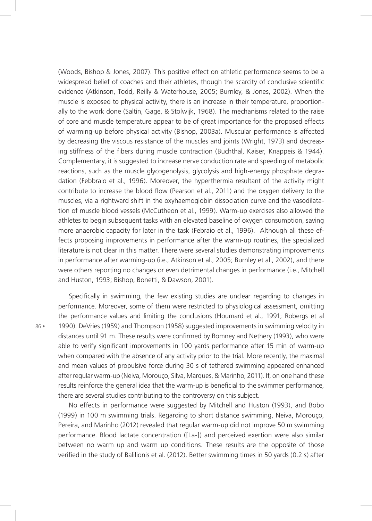(Woods, Bishop & Jones, 2007). This positive effect on athletic performance seems to be a widespread belief of coaches and their athletes, though the scarcity of conclusive scientific evidence (Atkinson, Todd, Reilly & Waterhouse, 2005; Burnley, & Jones, 2002). When the muscle is exposed to physical activity, there is an increase in their temperature, proportionally to the work done (Saltin, Gage, & Stolwijk, 1968). The mechanisms related to the raise of core and muscle temperature appear to be of great importance for the proposed effects of warming-up before physical activity (Bishop, 2003a). Muscular performance is affected by decreasing the viscous resistance of the muscles and joints (Wright, 1973) and decreasing stiffness of the fibers during muscle contraction (Buchthal, Kaiser, Knappeis & 1944). Complementary, it is suggested to increase nerve conduction rate and speeding of metabolic reactions, such as the muscle glycogenolysis, glycolysis and high-energy phosphate degradation (Febbraio et al., 1996). Moreover, the hyperthermia resultant of the activity might contribute to increase the blood flow (Pearson et al., 2011) and the oxygen delivery to the muscles, via a rightward shift in the oxyhaemoglobin dissociation curve and the vasodilatation of muscle blood vessels (McCutheon et al., 1999). Warm-up exercises also allowed the athletes to begin subsequent tasks with an elevated baseline of oxygen consumption, saving more anaerobic capacity for later in the task (Febraio et al., 1996). Although all these effects proposing improvements in performance after the warm-up routines, the specialized literature is not clear in this matter. There were several studies demonstrating improvements in performance after warming-up (i.e., Atkinson et al., 2005; Burnley et al., 2002), and there were others reporting no changes or even detrimental changes in performance (i.e., Mitchell and Huston, 1993; Bishop, Bonetti, & Dawson, 2001).

Specifically in swimming, the few existing studies are unclear regarding to changes in performance. Moreover, some of them were restricted to physiological assessment, omitting the performance values and limiting the conclusions (Houmard et al., 1991; Robergs et al 1990). DeVries (1959) and Thompson (1958) suggested improvements in swimming velocity in distances until 91 m. These results were confirmed by Romney and Nethery (1993), who were able to verify significant improvements in 100 yards performance after 15 min of warm-up when compared with the absence of any activity prior to the trial. More recently, the maximal and mean values of propulsive force during 30 s of tethered swimming appeared enhanced after regular warm-up (Neiva, Morouço, Silva, Marques, & Marinho, 2011). If, on one hand these results reinforce the general idea that the warm-up is beneficial to the swimmer performance, there are several studies contributing to the controversy on this subject.

No effects in performance were suggested by Mitchell and Huston (1993), and Bobo (1999) in 100 m swimming trials. Regarding to short distance swimming, Neiva, Morouço, Pereira, and Marinho (2012) revealed that regular warm-up did not improve 50 m swimming performance. Blood lactate concentration ([La-]) and perceived exertion were also similar between no warm up and warm up conditions. These results are the opposite of those verified in the study of Balilionis et al. (2012). Better swimming times in 50 yards (0.2 s) after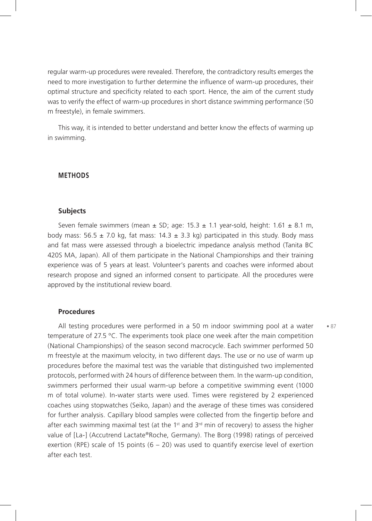regular warm-up procedures were revealed. Therefore, the contradictory results emerges the need to more investigation to further determine the influence of warm-up procedures, their optimal structure and specificity related to each sport. Hence, the aim of the current study was to verify the effect of warm-up procedures in short distance swimming performance (50 m freestyle), in female swimmers.

This way, it is intended to better understand and better know the effects of warming up in swimming.

#### **METHODS**

#### **Subjects**

Seven female swimmers (mean  $\pm$  SD; age: 15.3  $\pm$  1.1 year-sold, height: 1.61  $\pm$  8.1 m, body mass:  $56.5 \pm 7.0$  kg, fat mass:  $14.3 \pm 3.3$  kg) participated in this study. Body mass and fat mass were assessed through a bioelectric impedance analysis method (Tanita BC 420S MA, Japan). All of them participate in the National Championships and their training experience was of 5 years at least. Volunteer's parents and coaches were informed about research propose and signed an informed consent to participate. All the procedures were approved by the institutional review board.

#### **Procedures**

All testing procedures were performed in a 50 m indoor swimming pool at a water temperature of 27.5 °C. The experiments took place one week after the main competition (National Championships) of the season second macrocycle. Each swimmer performed 50 m freestyle at the maximum velocity, in two different days. The use or no use of warm up procedures before the maximal test was the variable that distinguished two implemented protocols, performed with 24 hours of difference between them. In the warm-up condition, swimmers performed their usual warm-up before a competitive swimming event (1000 m of total volume). In-water starts were used. Times were registered by 2 experienced coaches using stopwatches (Seiko, Japan) and the average of these times was considered for further analysis. Capillary blood samples were collected from the fingertip before and after each swimming maximal test (at the 1<sup>st</sup> and  $3<sup>rd</sup>$  min of recovery) to assess the higher value of [La-] (Accutrend Lactate®Roche, Germany). The Borg (1998) ratings of perceived exertion (RPE) scale of 15 points  $(6 - 20)$  was used to quantify exercise level of exertion after each test.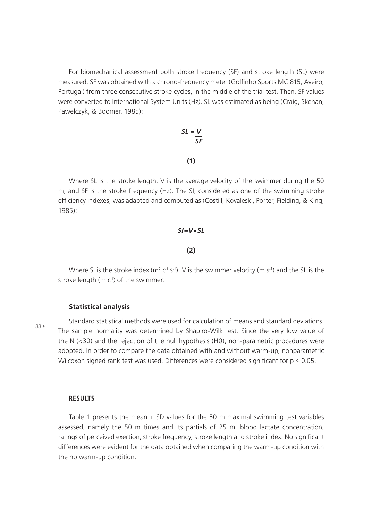For biomechanical assessment both stroke frequency (SF) and stroke length (SL) were measured. SF was obtained with a chrono-frequency meter (Golfinho Sports MC 815, Aveiro, Portugal) from three consecutive stroke cycles, in the middle of the trial test. Then, SF values were converted to International System Units (Hz). SL was estimated as being (Craig, Skehan, Pawelczyk, & Boomer, 1985):

$$
SL = \frac{V}{SF}
$$

#### **(1)**

Where SL is the stroke length,  $V$  is the average velocity of the swimmer during the 50 m, and SF is the stroke frequency (Hz). The SI, considered as one of the swimming stroke efficiency indexes, was adapted and computed as (Costill, Kovaleski, Porter, Fielding, & King, 1985):

#### *SI=V×SL*

#### **(2)**

Where SI is the stroke index ( $m^2 c^1 s^{-1}$ ), V is the swimmer velocity (m s<sup>-1</sup>) and the SL is the stroke length ( $m \ncup$ ) of the swimmer.

88 •

#### **Statistical analysis**

Standard statistical methods were used for calculation of means and standard deviations. The sample normality was determined by Shapiro-Wilk test. Since the very low value of the N (<30) and the rejection of the null hypothesis (H0), non-parametric procedures were adopted. In order to compare the data obtained with and without warm-up, nonparametric Wilcoxon signed rank test was used. Differences were considered significant for  $p \le 0.05$ .

#### **RESULTS**

Table 1 presents the mean  $\pm$  SD values for the 50 m maximal swimming test variables assessed, namely the 50 m times and its partials of 25 m, blood lactate concentration, ratings of perceived exertion, stroke frequency, stroke length and stroke index. No significant differences were evident for the data obtained when comparing the warm-up condition with the no warm-up condition.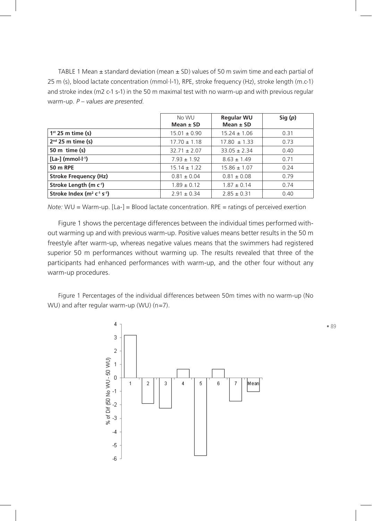TABLE 1 Mean  $\pm$  standard deviation (mean  $\pm$  SD) values of 50 m swim time and each partial of 25 m (s), blood lactate concentration (mmol·l-1), RPE, stroke frequency (Hz), stroke length (m.c-1) and stroke index (m2 c-1 s-1) in the 50 m maximal test with no warm-up and with previous regular warm-up. *P – values are presented*.

|                                   | No WU<br>Mean $\pm$ SD | <b>Regular WU</b><br>Mean $\pm$ SD | Sig(p) |
|-----------------------------------|------------------------|------------------------------------|--------|
| $1st$ 25 m time (s)               | $15.01 \pm 0.90$       | $15.24 \pm 1.06$                   | 0.31   |
| $2nd$ 25 m time (s)               | $17.70 \pm 1.18$       | $17.80 \pm 1.33$                   | 0.73   |
| 50 m time $(s)$                   | $32.71 \pm 2.07$       | $33.05 \pm 2.34$                   | 0.40   |
| $[La-]$ (mmol $\cdot l^{-1}$ )    | $7.93 \pm 1.92$        | $8.63 \pm 1.49$                    | 0.71   |
| 50 m RPE                          | $15.14 \pm 1.22$       | $15.86 \pm 1.07$                   | 0.24   |
| <b>Stroke Frequency (Hz)</b>      | $0.81 \pm 0.04$        | $0.81 \pm 0.08$                    | 0.79   |
| Stroke Length (m c <sup>1</sup> ) | $1.89 \pm 0.12$        | $1.87 \pm 0.14$                    | 0.74   |
| Stroke Index $(m^2 c^1 s^1)$      | $2.91 \pm 0.34$        | $2.85 \pm 0.31$                    | 0.40   |

*Note:* WU = Warm-up. [La-] = Blood lactate concentration. RPE = ratings of perceived exertion

Figure 1 shows the percentage differences between the individual times performed without warming up and with previous warm-up. Positive values means better results in the 50 m freestyle after warm-up, whereas negative values means that the swimmers had registered superior 50 m performances without warming up. The results revealed that three of the participants had enhanced performances with warm-up, and the other four without any warm-up procedures.

Figure 1 Percentages of the individual differences between 50m times with no warm-up (No WU) and after regular warm-up (WU) (n=7).



• 89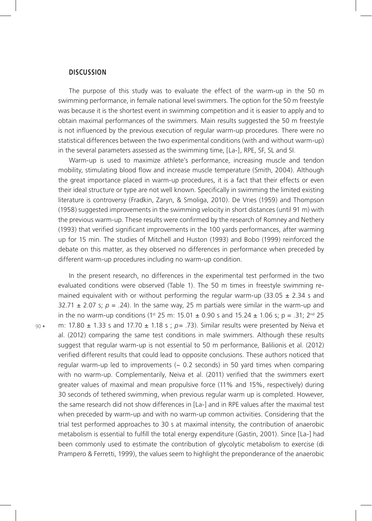#### **DISCUSSION**

The purpose of this study was to evaluate the effect of the warm-up in the 50 m swimming performance, in female national level swimmers. The option for the 50 m freestyle was because it is the shortest event in swimming competition and it is easier to apply and to obtain maximal performances of the swimmers. Main results suggested the 50 m freestyle is not influenced by the previous execution of regular warm-up procedures. There were no statistical differences between the two experimental conditions (with and without warm-up) in the several parameters assessed as the swimming time, [La-], RPE, SF, SL and SI.

Warm-up is used to maximize athlete's performance, increasing muscle and tendon mobility, stimulating blood flow and increase muscle temperature (Smith, 2004). Although the great importance placed in warm-up procedures, it is a fact that their effects or even their ideal structure or type are not well known. Specifically in swimming the limited existing literature is controversy (Fradkin, Zaryn, & Smoliga, 2010). De Vries (1959) and Thompson (1958) suggested improvements in the swimming velocity in short distances (until 91 m) with the previous warm-up. These results were confirmed by the research of Romney and Nethery (1993) that verified significant improvements in the 100 yards performances, after warming up for 15 min. The studies of Mitchell and Huston (1993) and Bobo (1999) reinforced the debate on this matter, as they observed no differences in performance when preceded by different warm-up procedures including no warm-up condition.

In the present research, no differences in the experimental test performed in the two evaluated conditions were observed (Table 1). The 50 m times in freestyle swimming remained equivalent with or without performing the regular warm-up (33.05  $\pm$  2.34 s and  $32.71 \pm 2.07$  s;  $p = .24$ ). In the same way, 25 m partials were similar in the warm-up and in the no warm-up conditions (1<sup>st</sup> 25 m: 15.01  $\pm$  0.90 s and 15.24  $\pm$  1.06 s; p = .31; 2<sup>nd</sup> 25 m: 17.80 ± 1.33 s and 17.70 ± 1.18 s ; *p=* .73). Similar results were presented by Neiva et al. (2012) comparing the same test conditions in male swimmers. Although these results suggest that regular warm-up is not essential to 50 m performance, Balilionis et al. (2012) verified different results that could lead to opposite conclusions. These authors noticed that regular warm-up led to improvements ( $\sim$  0.2 seconds) in 50 yard times when comparing with no warm-up. Complementarily, Neiva et al. (2011) verified that the swimmers exert greater values of maximal and mean propulsive force (11% and 15%, respectively) during 30 seconds of tethered swimming, when previous regular warm up is completed. However, the same research did not show differences in [La-] and in RPE values after the maximal test when preceded by warm-up and with no warm-up common activities. Considering that the trial test performed approaches to 30 s at maximal intensity, the contribution of anaerobic metabolism is essential to fulfill the total energy expenditure (Gastin, 2001). Since [La-] had been commonly used to estimate the contribution of glycolytic metabolism to exercise (di Prampero & Ferretti, 1999), the values seem to highlight the preponderance of the anaerobic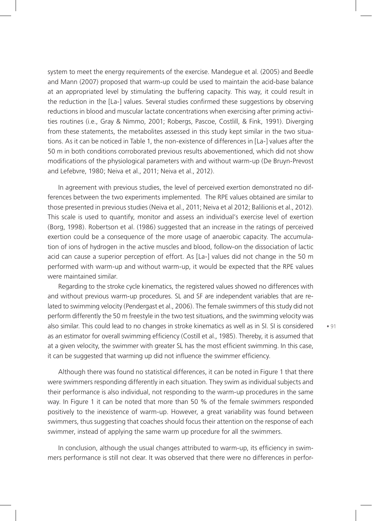system to meet the energy requirements of the exercise. Mandegue et al. (2005) and Beedle and Mann (2007) proposed that warm-up could be used to maintain the acid-base balance at an appropriated level by stimulating the buffering capacity. This way, it could result in the reduction in the [La-] values. Several studies confirmed these suggestions by observing reductions in blood and muscular lactate concentrations when exercising after priming activities routines (i.e., Gray & Nimmo, 2001; Robergs, Pascoe, Costlill, & Fink, 1991). Diverging from these statements, the metabolites assessed in this study kept similar in the two situations. As it can be noticed in Table 1, the non-existence of differences in [La-] values after the 50 m in both conditions corroborated previous results abovementioned, which did not show modifications of the physiological parameters with and without warm-up (De Bruyn-Prevost and Lefebvre, 1980; Neiva et al., 2011; Neiva et al., 2012).

In agreement with previous studies, the level of perceived exertion demonstrated no differences between the two experiments implemented. The RPE values obtained are similar to those presented in previous studies (Neiva et al., 2011; Neiva et al 2012; Balilionis et al., 2012). This scale is used to quantify, monitor and assess an individual's exercise level of exertion (Borg, 1998). Robertson et al. (1986) suggested that an increase in the ratings of perceived exertion could be a consequence of the more usage of anaerobic capacity. The accumulation of ions of hydrogen in the active muscles and blood, follow-on the dissociation of lactic acid can cause a superior perception of effort. As [La-] values did not change in the 50 m performed with warm-up and without warm-up, it would be expected that the RPE values were maintained similar.

Regarding to the stroke cycle kinematics, the registered values showed no differences with and without previous warm-up procedures. SL and SF are independent variables that are related to swimming velocity (Pendergast et al., 2006). The female swimmers of this study did not perform differently the 50 m freestyle in the two test situations, and the swimming velocity was also similar. This could lead to no changes in stroke kinematics as well as in SI. SI is considered as an estimator for overall swimming efficiency (Costill et al., 1985). Thereby, it is assumed that at a given velocity, the swimmer with greater SL has the most efficient swimming. In this case, it can be suggested that warming up did not influence the swimmer efficiency.

Although there was found no statistical differences, it can be noted in Figure 1 that there were swimmers responding differently in each situation. They swim as individual subjects and their performance is also individual, not responding to the warm-up procedures in the same way. In Figure 1 it can be noted that more than 50 % of the female swimmers responded positively to the inexistence of warm-up. However, a great variability was found between swimmers, thus suggesting that coaches should focus their attention on the response of each swimmer, instead of applying the same warm up procedure for all the swimmers.

In conclusion, although the usual changes attributed to warm-up, its efficiency in swimmers performance is still not clear. It was observed that there were no differences in perfor-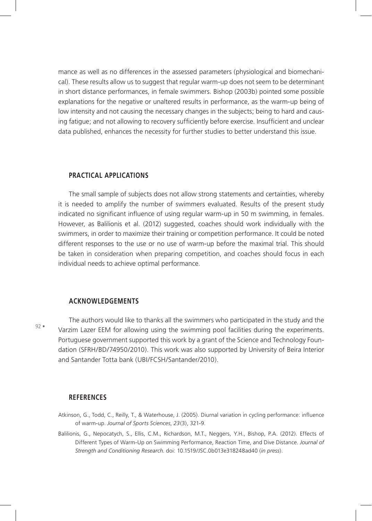mance as well as no differences in the assessed parameters (physiological and biomechanical). These results allow us to suggest that regular warm-up does not seem to be determinant in short distance performances, in female swimmers. Bishop (2003b) pointed some possible explanations for the negative or unaltered results in performance, as the warm-up being of low intensity and not causing the necessary changes in the subjects; being to hard and causing fatigue; and not allowing to recovery sufficiently before exercise. Insufficient and unclear data published, enhances the necessity for further studies to better understand this issue.

#### **PRACTICAL APPLICATIONS**

The small sample of subjects does not allow strong statements and certainties, whereby it is needed to amplify the number of swimmers evaluated. Results of the present study indicated no significant influence of using regular warm-up in 50 m swimming, in females. However, as Balilionis et al. (2012) suggested, coaches should work individually with the swimmers, in order to maximize their training or competition performance. It could be noted different responses to the use or no use of warm-up before the maximal trial. This should be taken in consideration when preparing competition, and coaches should focus in each individual needs to achieve optimal performance.

#### **ACKNOWLEDGEMENTS**

92 •

The authors would like to thanks all the swimmers who participated in the study and the Varzim Lazer EEM for allowing using the swimming pool facilities during the experiments. Portuguese government supported this work by a grant of the Science and Technology Foundation (SFRH/BD/74950/2010). This work was also supported by University of Beira Interior and Santander Totta bank (UBI/FCSH/Santander/2010).

#### **REFERENCES**

- Atkinson, G., Todd, C., Reilly, T., & Waterhouse, J. (2005). Diurnal variation in cycling performance: influence of warm-up. *Journal of Sports Sciences*, *23*(3), 321-9.
- Balilionis, G., Nepocatych, S., Ellis, C.M., Richardson, M.T., Neggers, Y.H., Bishop, P.A. (2012). Effects of Different Types of Warm-Up on Swimming Performance, Reaction Time, and Dive Distance. *Journal of Strength and Conditioning Research*. doi: 10.1519/JSC.0b013e318248ad40 (*in press*).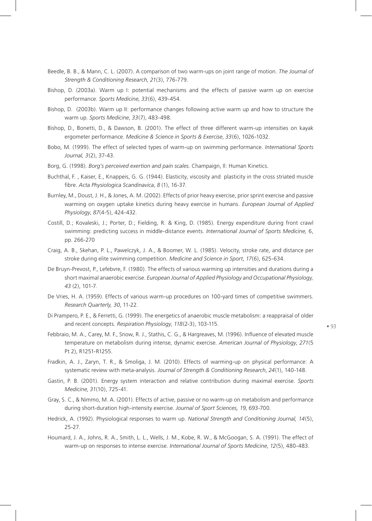- Beedle, B. B., & Mann, C. L. (2007). A comparison of two warm-ups on joint range of motion. *The Journal of Strength & Conditioning Research*, *21*(3), 776-779.
- Bishop, D. (2003a). Warm up I: potential mechanisms and the effects of passive warm up on exercise performance. *Sports Medicine*, *33*(6), 439-454.
- Bishop, D. (2003b). Warm up II: performance changes following active warm up and how to structure the warm up. *Sports Medicine*, *33*(7), 483-498.
- Bishop, D., Bonetti, D., & Dawson, B. (2001). The effect of three different warm-up intensities on kayak ergometer performance. *Medicine & Science in Sports & Exercise*, *33*(6), 1026-1032.
- Bobo, M. (1999). The effect of selected types of warm-up on swimming performance. *International Sports Journal, 3*(2), 37-43.
- Borg, G. (1998). *Borg's perceived exertion and pain scales*. Champaign, Il: Human Kinetics.
- Buchthal, F. , Kaiser, E., Knappeis, G. G. (1944). Elasticity, viscosity and plasticity in the cross striated muscle fibre. *Acta Physiologica Scandinavica*, *8* (1), 16-37.
- Burnley, M., Doust, J. H., & Jones, A. M. (2002). Effects of prior heavy exercise, prior sprint exercise and passive warming on oxygen uptake kinetics during heavy exercise in humans. *European Journal of Applied Physiology*, *87*(4-5), 424-432.
- Costill, D.; Kovaleski, J.; Porter, D.; Fielding, R. & King, D. (1985). Energy expenditure during front crawl swimming: predicting success in middle-distance events. *International Journal of Sports Medicine,* 6, pp. 266-270
- Craig, A. B., Skehan, P. L., Pawelczyk, J. A., & Boomer, W. L. (1985). Velocity, stroke rate, and distance per stroke during elite swimming competition. *Medicine and Science in Sport*, *17*(6), 625-634.
- De Bruyn-Prevost, P., Lefebvre, F. (1980). The effects of various warming up intensities and durations during a short maximal anaerobic exercise. *European Journal of Applied Physiology and Occupational Physiology, 43* (2), 101-7.
- De Vries, H. A. (1959). Effects of various warm-up procedures on 100-yard times of competitive swimmers. *Research Quarterly, 30*, 11-22.
- Di Prampero, P. E., & Ferretti, G. (1999). The energetics of anaerobic muscle metabolism: a reappraisal of older and recent concepts. *Respiration Physiology*, *118*(2-3), 103-115.

- Febbraio, M. A., Carey, M. F., Snow, R. J., Stathis, C. G., & Hargreaves, M. (1996). Influence of elevated muscle temperature on metabolism during intense, dynamic exercise. *American Journal of Physiology*, *271*(5 Pt 2), R1251-R1255.
- Fradkin, A. J., Zaryn, T. R., & Smoliga, J. M. (2010). Effects of warming-up on physical performance: A systematic review with meta-analysis. *Journal of Strength & Conditioning Research*, *24*(1), 140-148.
- Gastin, P. B. (2001). Energy system interaction and relative contribution during maximal exercise. *Sports Medicine*, *31*(10), 725-41.
- Gray, S. C., & Nimmo, M. A. (2001). Effects of active, passive or no warm-up on metabolism and performance during short-duration high-intensity exercise. *Journal of Sport Sciences, 19*, 693-700.
- Hedrick, A. (1992). Physiological responses to warm up. *National Strength and Conditioning Journal, 14*(5), 25-27.
- Houmard, J. A., Johns, R. A., Smith, L. L., Wells, J. M., Kobe, R. W., & McGoogan, S. A. (1991). The effect of warm-up on responses to intense exercise. *International Journal of Sports Medicine*, *12*(5), 480-483.